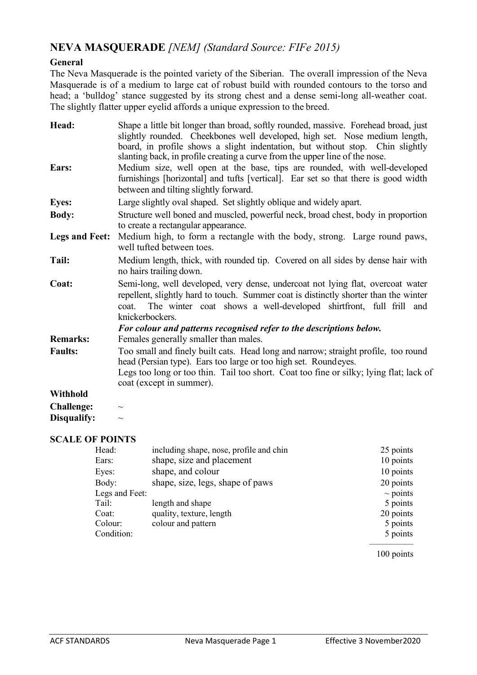## **NEVA MASQUERADE** *[NEM] (Standard Source: FIFe 2015)*

### **General**

The Neva Masquerade is the pointed variety of the Siberian. The overall impression of the Neva Masquerade is of a medium to large cat of robust build with rounded contours to the torso and head; a 'bulldog' stance suggested by its strong chest and a dense semi-long all-weather coat. The slightly flatter upper eyelid affords a unique expression to the breed.

| Head:<br>Ears:        | Shape a little bit longer than broad, softly rounded, massive. Forehead broad, just<br>slightly rounded. Cheekbones well developed, high set. Nose medium length,<br>board, in profile shows a slight indentation, but without stop. Chin slightly<br>slanting back, in profile creating a curve from the upper line of the nose.<br>Medium size, well open at the base, tips are rounded, with well-developed |  |  |
|-----------------------|----------------------------------------------------------------------------------------------------------------------------------------------------------------------------------------------------------------------------------------------------------------------------------------------------------------------------------------------------------------------------------------------------------------|--|--|
|                       | furnishings [horizontal] and tufts [vertical]. Ear set so that there is good width<br>between and tilting slightly forward.                                                                                                                                                                                                                                                                                    |  |  |
| <b>Eyes:</b>          | Large slightly oval shaped. Set slightly oblique and widely apart.                                                                                                                                                                                                                                                                                                                                             |  |  |
| <b>Body:</b>          | Structure well boned and muscled, powerful neck, broad chest, body in proportion<br>to create a rectangular appearance.                                                                                                                                                                                                                                                                                        |  |  |
| <b>Legs and Feet:</b> | Medium high, to form a rectangle with the body, strong. Large round paws,<br>well tufted between toes.                                                                                                                                                                                                                                                                                                         |  |  |
| Tail:                 | Medium length, thick, with rounded tip. Covered on all sides by dense hair with<br>no hairs trailing down.                                                                                                                                                                                                                                                                                                     |  |  |
| Coat:                 | Semi-long, well developed, very dense, undercoat not lying flat, overcoat water<br>repellent, slightly hard to touch. Summer coat is distinctly shorter than the winter<br>The winter coat shows a well-developed shirtfront, full frill and<br>coat.<br>knickerbockers.<br>For colour and patterns recognised refer to the descriptions below.                                                                |  |  |
| <b>Remarks:</b>       | Females generally smaller than males.                                                                                                                                                                                                                                                                                                                                                                          |  |  |
| <b>Faults:</b>        | Too small and finely built cats. Head long and narrow; straight profile, too round<br>head (Persian type). Ears too large or too high set. Roundeyes.<br>Legs too long or too thin. Tail too short. Coat too fine or silky; lying flat; lack of<br>coat (except in summer).                                                                                                                                    |  |  |
| Withhold              |                                                                                                                                                                                                                                                                                                                                                                                                                |  |  |
| <b>Challenge:</b>     | $\sim$                                                                                                                                                                                                                                                                                                                                                                                                         |  |  |
| Disqualify:           | $\sim$                                                                                                                                                                                                                                                                                                                                                                                                         |  |  |

#### **SCALE OF POINTS**

| Head:          | including shape, nose, profile and chin | 25 points     |
|----------------|-----------------------------------------|---------------|
| Ears:          | shape, size and placement               | 10 points     |
| Eyes:          | shape, and colour                       | 10 points     |
| Body:          | shape, size, legs, shape of paws        | 20 points     |
| Legs and Feet: |                                         | $\sim$ points |
| Tail:          | length and shape                        | 5 points      |
| Coat:          | quality, texture, length                | 20 points     |
| Colour:        | colour and pattern                      | 5 points      |
| Condition:     |                                         | 5 points      |
|                |                                         |               |

100 points